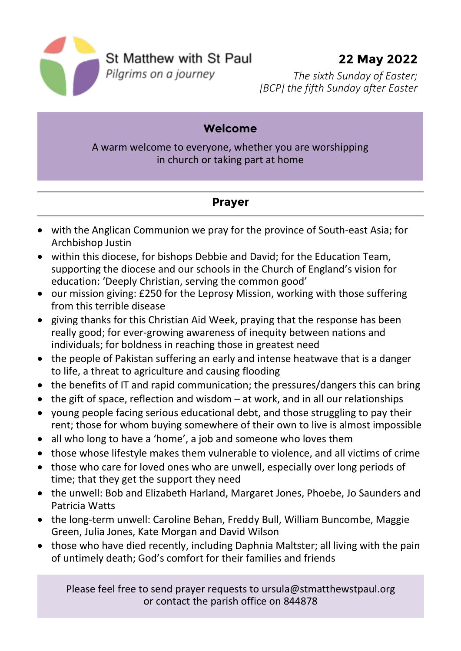

**22 May 2022**

*The sixth Sunday of Easter; [BCP] the fifth Sunday after Easter*

# **Welcome**

A warm welcome to everyone, whether you are worshipping in church or taking part at home

# **Prayer**

- with the Anglican Communion we pray for the province of South-east Asia; for Archbishop Justin
- within this diocese, for bishops Debbie and David; for the Education Team, supporting the diocese and our schools in the Church of England's vision for education: 'Deeply Christian, serving the common good'
- our mission giving: £250 for the Leprosy Mission, working with those suffering from this terrible disease
- giving thanks for this Christian Aid Week, praying that the response has been really good; for ever-growing awareness of inequity between nations and individuals; for boldness in reaching those in greatest need
- the people of Pakistan suffering an early and intense heatwave that is a danger to life, a threat to agriculture and causing flooding
- the benefits of IT and rapid communication; the pressures/dangers this can bring
- the gift of space, reflection and wisdom at work, and in all our relationships
- young people facing serious educational debt, and those struggling to pay their rent; those for whom buying somewhere of their own to live is almost impossible
- all who long to have a 'home', a job and someone who loves them
- those whose lifestyle makes them vulnerable to violence, and all victims of crime
- those who care for loved ones who are unwell, especially over long periods of time; that they get the support they need
- the unwell: Bob and Elizabeth Harland, Margaret Jones, Phoebe, Jo Saunders and Patricia Watts
- the long-term unwell: Caroline Behan, Freddy Bull, William Buncombe, Maggie Green, Julia Jones, Kate Morgan and David Wilson
- those who have died recently, including Daphnia Maltster; all living with the pain of untimely death; God's comfort for their families and friends

Please feel free to send prayer requests to ursula@stmatthewstpaul.org or contact the parish office on 844878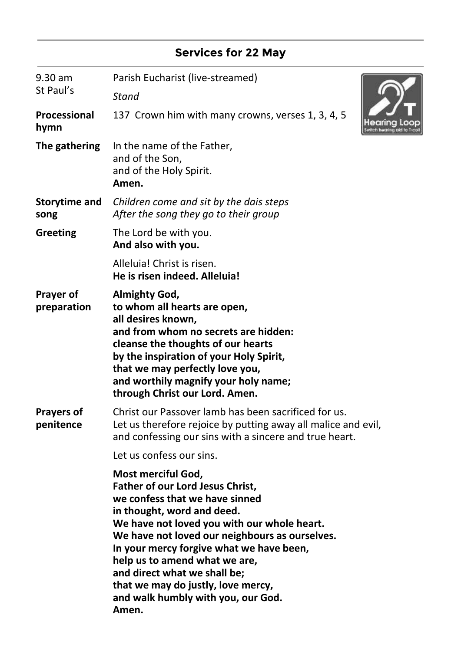# **Services for 22 May**

| 9.30 am<br>St Paul's            | Parish Eucharist (live-streamed)                                                                                                                                                                                                                                                                                                                                                                                                 |
|---------------------------------|----------------------------------------------------------------------------------------------------------------------------------------------------------------------------------------------------------------------------------------------------------------------------------------------------------------------------------------------------------------------------------------------------------------------------------|
|                                 | Stand                                                                                                                                                                                                                                                                                                                                                                                                                            |
| <b>Processional</b><br>hymn     | 137 Crown him with many crowns, verses 1, 3, 4, 5                                                                                                                                                                                                                                                                                                                                                                                |
| The gathering                   | In the name of the Father,<br>and of the Son,<br>and of the Holy Spirit.<br>Amen.                                                                                                                                                                                                                                                                                                                                                |
| <b>Storytime and</b><br>song    | Children come and sit by the dais steps<br>After the song they go to their group                                                                                                                                                                                                                                                                                                                                                 |
| <b>Greeting</b>                 | The Lord be with you.<br>And also with you.                                                                                                                                                                                                                                                                                                                                                                                      |
|                                 | Alleluia! Christ is risen.<br>He is risen indeed. Alleluia!                                                                                                                                                                                                                                                                                                                                                                      |
| <b>Prayer of</b><br>preparation | <b>Almighty God,</b><br>to whom all hearts are open,<br>all desires known,<br>and from whom no secrets are hidden:<br>cleanse the thoughts of our hearts<br>by the inspiration of your Holy Spirit,<br>that we may perfectly love you,<br>and worthily magnify your holy name;<br>through Christ our Lord. Amen.                                                                                                                 |
| <b>Prayers of</b><br>penitence  | Christ our Passover lamb has been sacrificed for us.<br>Let us therefore rejoice by putting away all malice and evil,<br>and confessing our sins with a sincere and true heart.                                                                                                                                                                                                                                                  |
|                                 | Let us confess our sins.                                                                                                                                                                                                                                                                                                                                                                                                         |
|                                 | Most merciful God,<br><b>Father of our Lord Jesus Christ,</b><br>we confess that we have sinned<br>in thought, word and deed.<br>We have not loved you with our whole heart.<br>We have not loved our neighbours as ourselves.<br>In your mercy forgive what we have been,<br>help us to amend what we are,<br>and direct what we shall be;<br>that we may do justly, love mercy,<br>and walk humbly with you, our God.<br>Amen. |

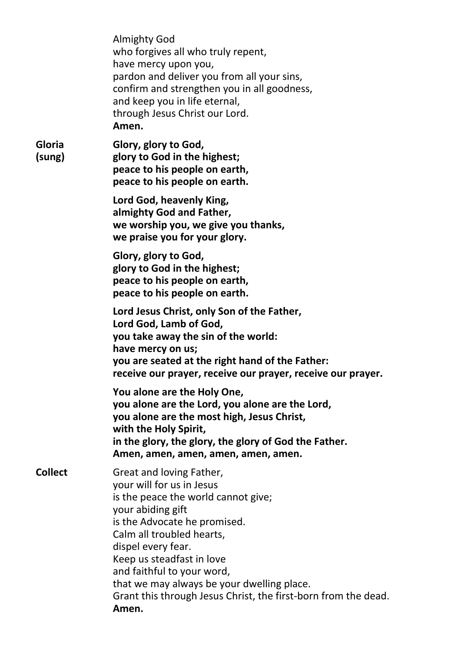|                  | <b>Almighty God</b><br>who forgives all who truly repent,<br>have mercy upon you,<br>pardon and deliver you from all your sins,<br>confirm and strengthen you in all goodness,<br>and keep you in life eternal,<br>through Jesus Christ our Lord.<br>Amen.                                                                                                                               |
|------------------|------------------------------------------------------------------------------------------------------------------------------------------------------------------------------------------------------------------------------------------------------------------------------------------------------------------------------------------------------------------------------------------|
| Gloria<br>(sung) | Glory, glory to God,<br>glory to God in the highest;<br>peace to his people on earth,<br>peace to his people on earth.                                                                                                                                                                                                                                                                   |
|                  | Lord God, heavenly King,<br>almighty God and Father,<br>we worship you, we give you thanks,<br>we praise you for your glory.                                                                                                                                                                                                                                                             |
|                  | Glory, glory to God,<br>glory to God in the highest;<br>peace to his people on earth,<br>peace to his people on earth.                                                                                                                                                                                                                                                                   |
|                  | Lord Jesus Christ, only Son of the Father,<br>Lord God, Lamb of God,<br>you take away the sin of the world:<br>have mercy on us;<br>you are seated at the right hand of the Father:<br>receive our prayer, receive our prayer, receive our prayer.                                                                                                                                       |
|                  | You alone are the Holy One,<br>you alone are the Lord, you alone are the Lord,<br>you alone are the most high, Jesus Christ,<br>with the Holy Spirit,<br>in the glory, the glory, the glory of God the Father.<br>Amen, amen, amen, amen, amen, amen.                                                                                                                                    |
| <b>Collect</b>   | Great and loving Father,<br>your will for us in Jesus<br>is the peace the world cannot give;<br>your abiding gift<br>is the Advocate he promised.<br>Calm all troubled hearts,<br>dispel every fear.<br>Keep us steadfast in love<br>and faithful to your word,<br>that we may always be your dwelling place.<br>Grant this through Jesus Christ, the first-born from the dead.<br>Amen. |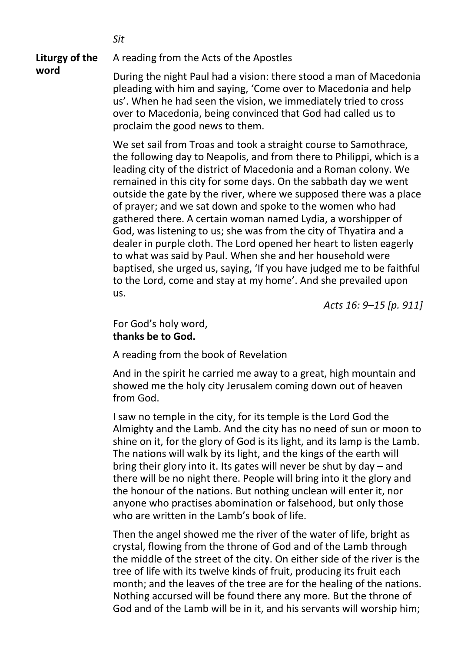*Sit*

#### **Liturgy of the word** A reading from the Acts of the Apostles

During the night Paul had a vision: there stood a man of Macedonia pleading with him and saying, 'Come over to Macedonia and help us'. When he had seen the vision, we immediately tried to cross over to Macedonia, being convinced that God had called us to proclaim the good news to them.

We set sail from Troas and took a straight course to Samothrace, the following day to Neapolis, and from there to Philippi, which is a leading city of the district of Macedonia and a Roman colony. We remained in this city for some days. On the sabbath day we went outside the gate by the river, where we supposed there was a place of prayer; and we sat down and spoke to the women who had gathered there. A certain woman named Lydia, a worshipper of God, was listening to us; she was from the city of Thyatira and a dealer in purple cloth. The Lord opened her heart to listen eagerly to what was said by Paul. When she and her household were baptised, she urged us, saying, 'If you have judged me to be faithful to the Lord, come and stay at my home'. And she prevailed upon us.

*Acts 16: 9–15 [p. 911]*

For God's holy word, **thanks be to God.**

A reading from the book of Revelation

And in the spirit he carried me away to a great, high mountain and showed me the holy city Jerusalem coming down out of heaven from God.

I saw no temple in the city, for its temple is the Lord God the Almighty and the Lamb. And the city has no need of sun or moon to shine on it, for the glory of God is its light, and its lamp is the Lamb. The nations will walk by its light, and the kings of the earth will bring their glory into it. Its gates will never be shut by day – and there will be no night there. People will bring into it the glory and the honour of the nations. But nothing unclean will enter it, nor anyone who practises abomination or falsehood, but only those who are written in the Lamb's book of life.

Then the angel showed me the river of the water of life, bright as crystal, flowing from the throne of God and of the Lamb through the middle of the street of the city. On either side of the river is the tree of life with its twelve kinds of fruit, producing its fruit each month; and the leaves of the tree are for the healing of the nations. Nothing accursed will be found there any more. But the throne of God and of the Lamb will be in it, and his servants will worship him;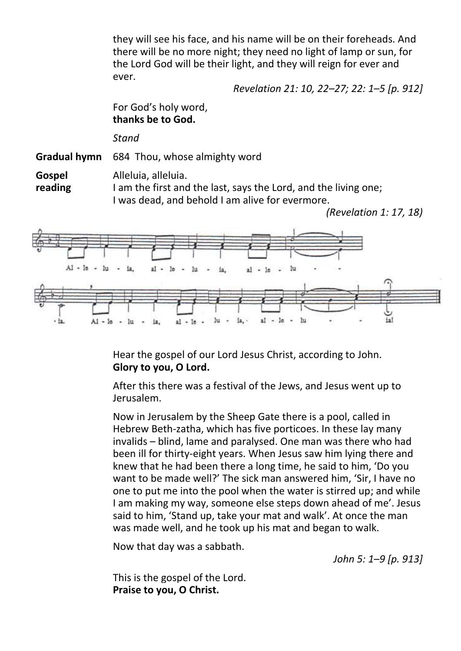they will see his face, and his name will be on their foreheads. And there will be no more night; they need no light of lamp or sun, for the Lord God will be their light, and they will reign for ever and ever.

*Revelation 21: 10, 22–27; 22: 1–5 [p. 912]*

For God's holy word, **thanks be to God.**

*Stand*

**Gradual hymn** 684 Thou, whose almighty word

Alleluia, alleluia.

**Gospel reading**

I am the first and the last, says the Lord, and the living one; I was dead, and behold I am alive for evermore.

*(Revelation 1: 17, 18)*



Hear the gospel of our Lord Jesus Christ, according to John. **Glory to you, O Lord.**

After this there was a festival of the Jews, and Jesus went up to Jerusalem.

Now in Jerusalem by the Sheep Gate there is a pool, called in Hebrew Beth-zatha, which has five porticoes. In these lay many invalids – blind, lame and paralysed. One man was there who had been ill for thirty-eight years. When Jesus saw him lying there and knew that he had been there a long time, he said to him, 'Do you want to be made well?' The sick man answered him, 'Sir, I have no one to put me into the pool when the water is stirred up; and while I am making my way, someone else steps down ahead of me'. Jesus said to him, 'Stand up, take your mat and walk'. At once the man was made well, and he took up his mat and began to walk.

Now that day was a sabbath.

*John 5: 1–9 [p. 913]*

This is the gospel of the Lord. **Praise to you, O Christ.**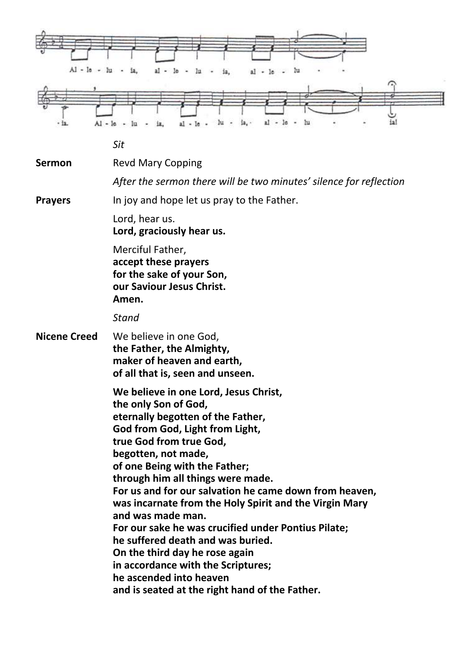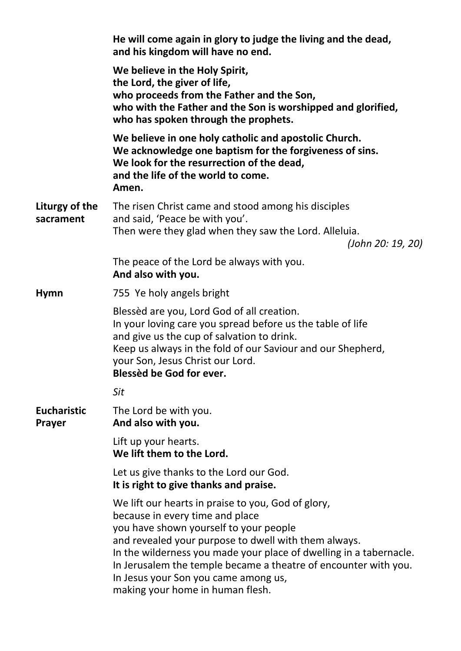|                                     | He will come again in glory to judge the living and the dead,<br>and his kingdom will have no end.                                                                                                                                                                                                                                                                                                           |
|-------------------------------------|--------------------------------------------------------------------------------------------------------------------------------------------------------------------------------------------------------------------------------------------------------------------------------------------------------------------------------------------------------------------------------------------------------------|
|                                     | We believe in the Holy Spirit,<br>the Lord, the giver of life,<br>who proceeds from the Father and the Son,<br>who with the Father and the Son is worshipped and glorified,<br>who has spoken through the prophets.                                                                                                                                                                                          |
|                                     | We believe in one holy catholic and apostolic Church.<br>We acknowledge one baptism for the forgiveness of sins.<br>We look for the resurrection of the dead,<br>and the life of the world to come.<br>Amen.                                                                                                                                                                                                 |
| Liturgy of the<br>sacrament         | The risen Christ came and stood among his disciples<br>and said, 'Peace be with you'.<br>Then were they glad when they saw the Lord. Alleluia.<br>(John 20: 19, 20)                                                                                                                                                                                                                                          |
|                                     | The peace of the Lord be always with you.<br>And also with you.                                                                                                                                                                                                                                                                                                                                              |
| <b>Hymn</b>                         | 755 Ye holy angels bright                                                                                                                                                                                                                                                                                                                                                                                    |
|                                     | Blessèd are you, Lord God of all creation.<br>In your loving care you spread before us the table of life<br>and give us the cup of salvation to drink.<br>Keep us always in the fold of our Saviour and our Shepherd,<br>your Son, Jesus Christ our Lord.<br>Blessèd be God for ever.                                                                                                                        |
|                                     | Sit                                                                                                                                                                                                                                                                                                                                                                                                          |
| <b>Eucharistic</b><br><b>Prayer</b> | The Lord be with you.<br>And also with you.                                                                                                                                                                                                                                                                                                                                                                  |
|                                     | Lift up your hearts.<br>We lift them to the Lord.                                                                                                                                                                                                                                                                                                                                                            |
|                                     | Let us give thanks to the Lord our God.<br>It is right to give thanks and praise.                                                                                                                                                                                                                                                                                                                            |
|                                     | We lift our hearts in praise to you, God of glory,<br>because in every time and place<br>you have shown yourself to your people<br>and revealed your purpose to dwell with them always.<br>In the wilderness you made your place of dwelling in a tabernacle.<br>In Jerusalem the temple became a theatre of encounter with you.<br>In Jesus your Son you came among us,<br>making your home in human flesh. |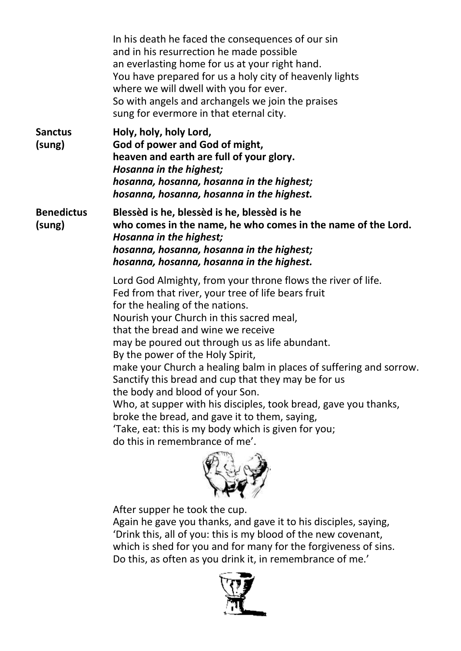|                             | In his death he faced the consequences of our sin<br>and in his resurrection he made possible<br>an everlasting home for us at your right hand.<br>You have prepared for us a holy city of heavenly lights<br>where we will dwell with you for ever.<br>So with angels and archangels we join the praises<br>sung for evermore in that eternal city.                                                                                                                                                                                                                                                                                                                                                       |
|-----------------------------|------------------------------------------------------------------------------------------------------------------------------------------------------------------------------------------------------------------------------------------------------------------------------------------------------------------------------------------------------------------------------------------------------------------------------------------------------------------------------------------------------------------------------------------------------------------------------------------------------------------------------------------------------------------------------------------------------------|
| <b>Sanctus</b><br>(sung)    | Holy, holy, holy Lord,<br>God of power and God of might,<br>heaven and earth are full of your glory.<br>Hosanna in the highest;<br>hosanna, hosanna, hosanna in the highest;<br>hosanna, hosanna, hosanna in the highest.                                                                                                                                                                                                                                                                                                                                                                                                                                                                                  |
| <b>Benedictus</b><br>(sung) | Blessèd is he, blessèd is he, blessèd is he<br>who comes in the name, he who comes in the name of the Lord.<br>Hosanna in the highest;<br>hosanna, hosanna, hosanna in the highest;<br>hosanna, hosanna, hosanna in the highest.                                                                                                                                                                                                                                                                                                                                                                                                                                                                           |
|                             | Lord God Almighty, from your throne flows the river of life.<br>Fed from that river, your tree of life bears fruit<br>for the healing of the nations.<br>Nourish your Church in this sacred meal,<br>that the bread and wine we receive<br>may be poured out through us as life abundant.<br>By the power of the Holy Spirit,<br>make your Church a healing balm in places of suffering and sorrow.<br>Sanctify this bread and cup that they may be for us<br>the body and blood of your Son.<br>Who, at supper with his disciples, took bread, gave you thanks,<br>broke the bread, and gave it to them, saying,<br>'Take, eat: this is my body which is given for you;<br>do this in remembrance of me'. |

After supper he took the cup.

Again he gave you thanks, and gave it to his disciples, saying, 'Drink this, all of you: this is my blood of the new covenant, which is shed for you and for many for the forgiveness of sins. Do this, as often as you drink it, in remembrance of me.'

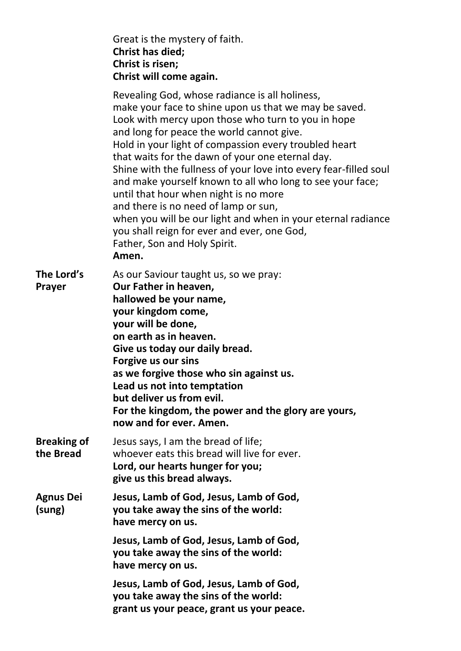|                                 | Great is the mystery of faith.<br><b>Christ has died;</b><br>Christ is risen;<br>Christ will come again.                                                                                                                                                                                                                                                                                                                                                                                                                                                                                                                                                                                          |
|---------------------------------|---------------------------------------------------------------------------------------------------------------------------------------------------------------------------------------------------------------------------------------------------------------------------------------------------------------------------------------------------------------------------------------------------------------------------------------------------------------------------------------------------------------------------------------------------------------------------------------------------------------------------------------------------------------------------------------------------|
|                                 | Revealing God, whose radiance is all holiness,<br>make your face to shine upon us that we may be saved.<br>Look with mercy upon those who turn to you in hope<br>and long for peace the world cannot give.<br>Hold in your light of compassion every troubled heart<br>that waits for the dawn of your one eternal day.<br>Shine with the fullness of your love into every fear-filled soul<br>and make yourself known to all who long to see your face;<br>until that hour when night is no more<br>and there is no need of lamp or sun,<br>when you will be our light and when in your eternal radiance<br>you shall reign for ever and ever, one God,<br>Father, Son and Holy Spirit.<br>Amen. |
| The Lord's<br><b>Prayer</b>     | As our Saviour taught us, so we pray:<br>Our Father in heaven,<br>hallowed be your name,<br>your kingdom come,<br>your will be done,<br>on earth as in heaven.<br>Give us today our daily bread.<br><b>Forgive us our sins</b><br>as we forgive those who sin against us.<br>Lead us not into temptation<br>but deliver us from evil.<br>For the kingdom, the power and the glory are yours,<br>now and for ever. Amen.                                                                                                                                                                                                                                                                           |
| <b>Breaking of</b><br>the Bread | Jesus says, I am the bread of life;<br>whoever eats this bread will live for ever.<br>Lord, our hearts hunger for you;<br>give us this bread always.                                                                                                                                                                                                                                                                                                                                                                                                                                                                                                                                              |
| <b>Agnus Dei</b><br>(sung)      | Jesus, Lamb of God, Jesus, Lamb of God,<br>you take away the sins of the world:<br>have mercy on us.                                                                                                                                                                                                                                                                                                                                                                                                                                                                                                                                                                                              |
|                                 | Jesus, Lamb of God, Jesus, Lamb of God,<br>you take away the sins of the world:<br>have mercy on us.                                                                                                                                                                                                                                                                                                                                                                                                                                                                                                                                                                                              |
|                                 | Jesus, Lamb of God, Jesus, Lamb of God,<br>you take away the sins of the world:<br>grant us your peace, grant us your peace.                                                                                                                                                                                                                                                                                                                                                                                                                                                                                                                                                                      |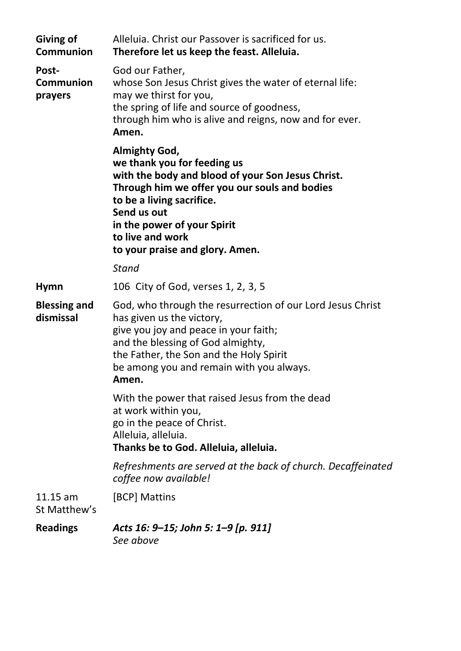| Giving of<br><b>Communion</b>    | Alleluia. Christ our Passover is sacrificed for us.<br>Therefore let us keep the feast. Alleluia.                                                                                                                                                                                           |
|----------------------------------|---------------------------------------------------------------------------------------------------------------------------------------------------------------------------------------------------------------------------------------------------------------------------------------------|
| Post-<br>Communion<br>prayers    | God our Father,<br>whose Son Jesus Christ gives the water of eternal life:<br>may we thirst for you,<br>the spring of life and source of goodness,<br>through him who is alive and reigns, now and for ever.<br>Amen.                                                                       |
|                                  | <b>Almighty God,</b><br>we thank you for feeding us<br>with the body and blood of your Son Jesus Christ.<br>Through him we offer you our souls and bodies<br>to be a living sacrifice.<br>Send us out<br>in the power of your Spirit<br>to live and work<br>to your praise and glory. Amen. |
|                                  | <b>Stand</b>                                                                                                                                                                                                                                                                                |
| <b>Hymn</b>                      | 106 City of God, verses 1, 2, 3, 5                                                                                                                                                                                                                                                          |
| <b>Blessing and</b><br>dismissal | God, who through the resurrection of our Lord Jesus Christ<br>has given us the victory,<br>give you joy and peace in your faith;<br>and the blessing of God almighty,<br>the Father, the Son and the Holy Spirit<br>be among you and remain with you always.<br>Amen.                       |
|                                  | With the power that raised Jesus from the dead<br>at work within you,<br>go in the peace of Christ.<br>Alleluia, alleluia.<br>Thanks be to God. Alleluia, alleluia.                                                                                                                         |
|                                  | Refreshments are served at the back of church. Decaffeinated<br>coffee now available!                                                                                                                                                                                                       |
| $11.15$ am<br>St Matthew's       | [BCP] Mattins                                                                                                                                                                                                                                                                               |
| <b>Readings</b>                  | Acts 16: 9-15; John 5: 1-9 [p. 911]<br>See above                                                                                                                                                                                                                                            |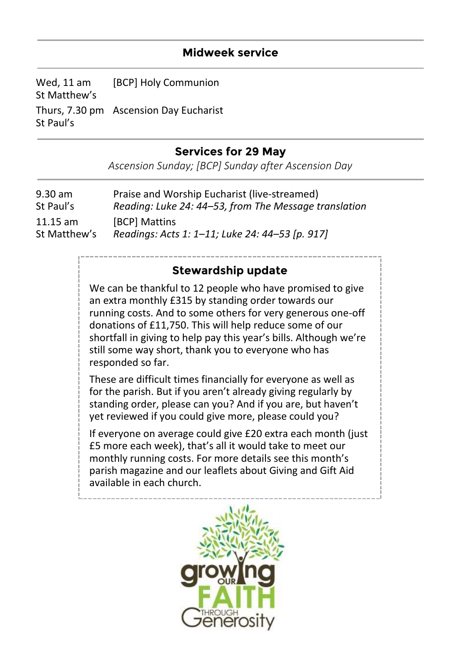# **Midweek service**

Wed, 11 am St Matthew's Thurs, 7.30 pm Ascension Day Eucharist St Paul's [BCP] Holy Communion

#### **Services for 29 May**

*Ascension Sunday; [BCP] Sunday after Ascension Day*

| $9.30$ am    | Praise and Worship Eucharist (live-streamed)          |
|--------------|-------------------------------------------------------|
| St Paul's    | Reading: Luke 24: 44–53, from The Message translation |
| $11.15$ am   | [BCP] Mattins                                         |
| St Matthew's | Readings: Acts 1: 1-11; Luke 24: 44-53 [p. 917]       |

#### **Stewardship update**

We can be thankful to 12 people who have promised to give an extra monthly £315 by standing order towards our running costs. And to some others for very generous one-off donations of £11,750. This will help reduce some of our shortfall in giving to help pay this year's bills. Although we're still some way short, thank you to everyone who has responded so far.

These are difficult times financially for everyone as well as for the parish. But if you aren't already giving regularly by standing order, please can you? And if you are, but haven't yet reviewed if you could give more, please could you?

If everyone on average could give £20 extra each month (just £5 more each week), that's all it would take to meet our monthly running costs. For more details see this month's parish magazine and our leaflets about Giving and Gift Aid available in each church.

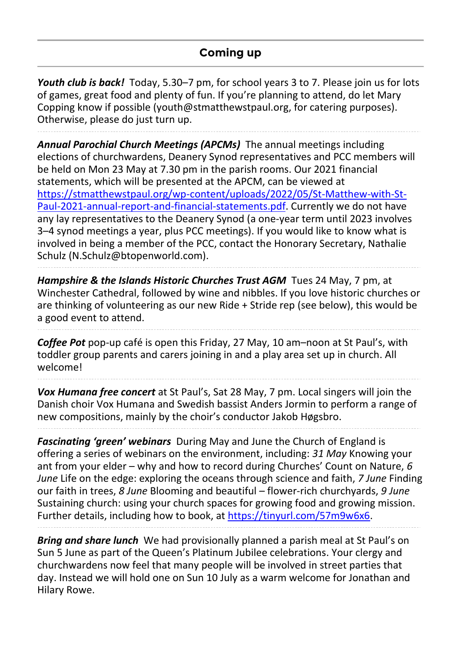# **Coming up**

*Youth club is back!*Today, 5.30–7 pm, for school years 3 to 7. Please join us for lots of games, great food and plenty of fun. If you're planning to attend, do let Mary Copping know if possible (youth@stmatthewstpaul.org, for catering purposes). Otherwise, please do just turn up.

*Annual Parochial Church Meetings (APCMs)* The annual meetings including elections of churchwardens, Deanery Synod representatives and PCC members will be held on Mon 23 May at 7.30 pm in the parish rooms. Our 2021 financial statements, which will be presented at the APCM, can be viewed at [https://stmatthewstpaul.org/wp-content/uploads/2022/05/St-Matthew-with-St-](https://stmatthewstpaul.org/wp-content/uploads/2022/05/St-Matthew-with-St-Paul-2021-annual-report-and-financial-statements.pdf)[Paul-2021-annual-report-and-financial-statements.pdf.](https://stmatthewstpaul.org/wp-content/uploads/2022/05/St-Matthew-with-St-Paul-2021-annual-report-and-financial-statements.pdf) Currently we do not have any lay representatives to the Deanery Synod (a one-year term until 2023 involves 3–4 synod meetings a year, plus PCC meetings). If you would like to know what is involved in being a member of the PCC, contact the Honorary Secretary, Nathalie Schulz (N.Schulz@btopenworld.com).

*Hampshire & the Islands Historic Churches Trust AGM* Tues 24 May, 7 pm, at Winchester Cathedral, followed by wine and nibbles. If you love historic churches or are thinking of volunteering as our new Ride + Stride rep (see below), this would be a good event to attend.

*Coffee Pot* pop-up café is open this Friday, 27 May, 10 am–noon at St Paul's, with toddler group parents and carers joining in and a play area set up in church. All welcome!

*Vox Humana free concert* at St Paul's, Sat 28 May, 7 pm. Local singers will join the Danish choir Vox Humana and Swedish bassist Anders Jormin to perform a range of new compositions, mainly by the choir's conductor Jakob Høgsbro.

*Fascinating 'green' webinars* During May and June the Church of England is offering a series of webinars on the environment, including: *31 May* Knowing your ant from your elder – why and how to record during Churches' Count on Nature, *6 June* Life on the edge: exploring the oceans through science and faith, *7 June* Finding our faith in trees, *8 June* Blooming and beautiful – flower-rich churchyards, *9 June* Sustaining church: using your church spaces for growing food and growing mission. Further details, including how to book, at [https://tinyurl.com/57m9w6x6.](https://tinyurl.com/57m9w6x6)

*Bring and share lunch*We had provisionally planned a parish meal at St Paul's on Sun 5 June as part of the Queen's Platinum Jubilee celebrations. Your clergy and churchwardens now feel that many people will be involved in street parties that day. Instead we will hold one on Sun 10 July as a warm welcome for Jonathan and Hilary Rowe.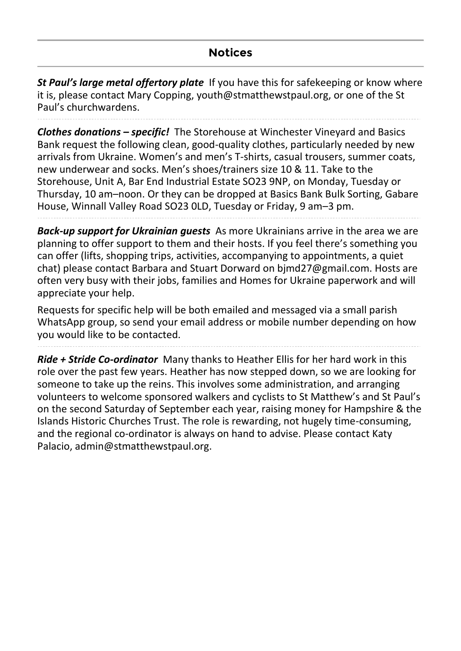# **Notices**

*St Paul's large metal offertory plate*If you have this for safekeeping or know where it is, please contact Mary Copping, youth@stmatthewstpaul.org, or one of the St Paul's churchwardens.

*Clothes donations – specific!*The Storehouse at Winchester Vineyard and Basics Bank request the following clean, good-quality clothes, particularly needed by new arrivals from Ukraine. Women's and men's T-shirts, casual trousers, summer coats, new underwear and socks. Men's shoes/trainers size 10 & 11. Take to the Storehouse, Unit A, Bar End Industrial Estate SO23 9NP, on Monday, Tuesday or Thursday, 10 am–noon. Or they can be dropped at Basics Bank Bulk Sorting, Gabare House, Winnall Valley Road SO23 0LD, Tuesday or Friday, 9 am–3 pm.

*Back-up support for Ukrainian guests* As more Ukrainians arrive in the area we are planning to offer support to them and their hosts. If you feel there's something you can offer (lifts, shopping trips, activities, accompanying to appointments, a quiet chat) please contact Barbara and Stuart Dorward on bjmd27@gmail.com. Hosts are often very busy with their jobs, families and Homes for Ukraine paperwork and will appreciate your help.

Requests for specific help will be both emailed and messaged via a small parish WhatsApp group, so send your email address or mobile number depending on how you would like to be contacted.

*Ride + Stride Co-ordinator* Many thanks to Heather Ellis for her hard work in this role over the past few years. Heather has now stepped down, so we are looking for someone to take up the reins. This involves some administration, and arranging volunteers to welcome sponsored walkers and cyclists to St Matthew's and St Paul's on the second Saturday of September each year, raising money for Hampshire & the Islands Historic Churches Trust. The role is rewarding, not hugely time-consuming, and the regional co-ordinator is always on hand to advise. Please contact Katy Palacio, admin@stmatthewstpaul.org.